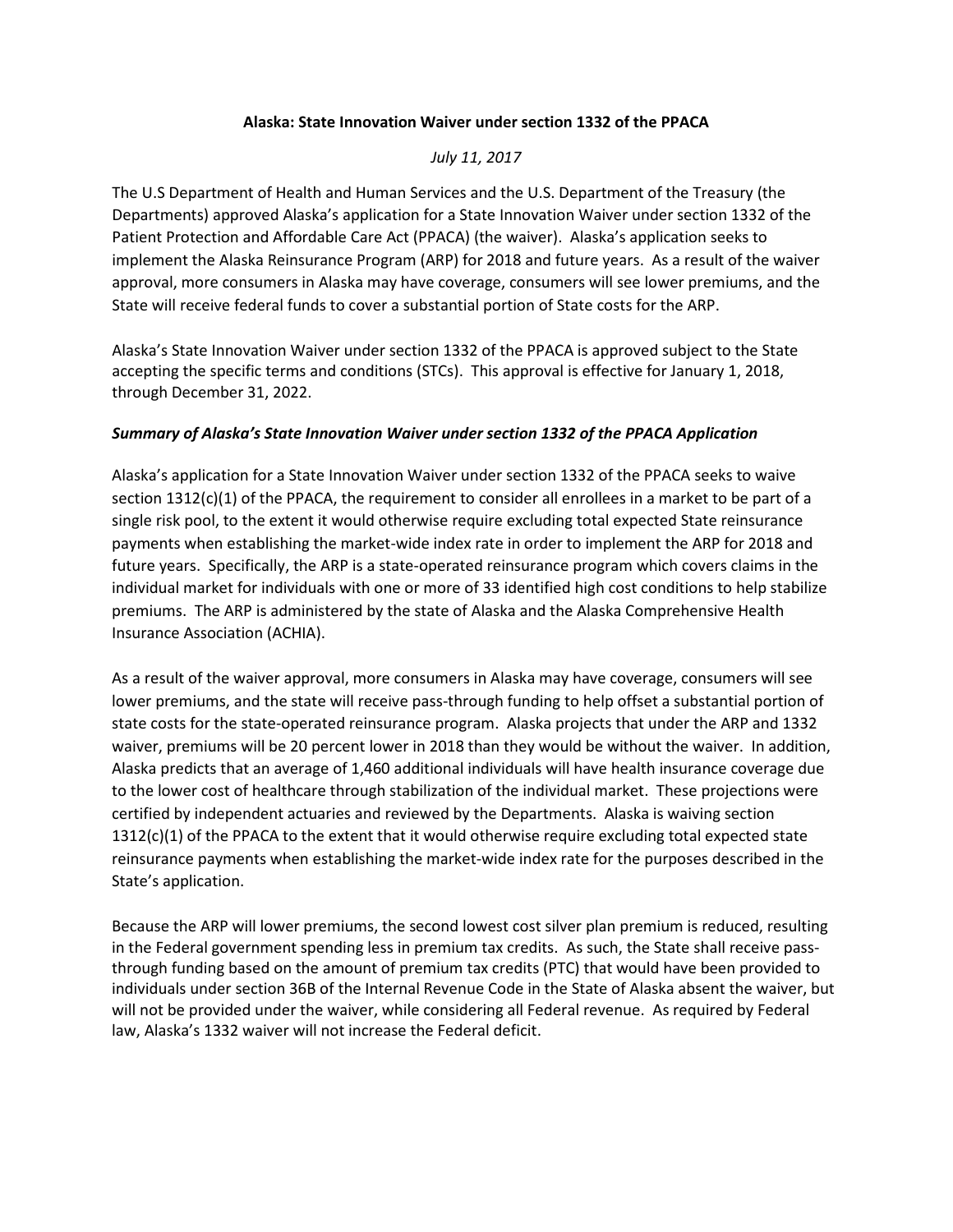## **Alaska: State Innovation Waiver under section 1332 of the PPACA**

## *July 11, 2017*

The U.S Department of Health and Human Services and the U.S. Department of the Treasury (the Departments) approved Alaska's application for a State Innovation Waiver under section 1332 of the Patient Protection and Affordable Care Act (PPACA) (the waiver). Alaska's application seeks to implement the Alaska Reinsurance Program (ARP) for 2018 and future years. As a result of the waiver approval, more consumers in Alaska may have coverage, consumers will see lower premiums, and the State will receive federal funds to cover a substantial portion of State costs for the ARP.

Alaska's State Innovation Waiver under section 1332 of the PPACA is approved subject to the State accepting the specific terms and conditions (STCs). This approval is effective for January 1, 2018, through December 31, 2022.

## *Summary of Alaska's State Innovation Waiver under section 1332 of the PPACA Application*

Alaska's application for a State Innovation Waiver under section 1332 of the PPACA seeks to waive section 1312(c)(1) of the PPACA, the requirement to consider all enrollees in a market to be part of a single risk pool, to the extent it would otherwise require excluding total expected State reinsurance payments when establishing the market-wide index rate in order to implement the ARP for 2018 and future years. Specifically, the ARP is a state-operated reinsurance program which covers claims in the individual market for individuals with one or more of 33 identified high cost conditions to help stabilize premiums. The ARP is administered by the state of Alaska and the Alaska Comprehensive Health Insurance Association (ACHIA).

As a result of the waiver approval, more consumers in Alaska may have coverage, consumers will see lower premiums, and the state will receive pass-through funding to help offset a substantial portion of state costs for the state-operated reinsurance program. Alaska projects that under the ARP and 1332 waiver, premiums will be 20 percent lower in 2018 than they would be without the waiver. In addition, Alaska predicts that an average of 1,460 additional individuals will have health insurance coverage due to the lower cost of healthcare through stabilization of the individual market. These projections were certified by independent actuaries and reviewed by the Departments. Alaska is waiving section  $1312(c)(1)$  of the PPACA to the extent that it would otherwise require excluding total expected state reinsurance payments when establishing the market-wide index rate for the purposes described in the State's application.

Because the ARP will lower premiums, the second lowest cost silver plan premium is reduced, resulting in the Federal government spending less in premium tax credits. As such, the State shall receive passthrough funding based on the amount of premium tax credits (PTC) that would have been provided to individuals under section 36B of the Internal Revenue Code in the State of Alaska absent the waiver, but will not be provided under the waiver, while considering all Federal revenue. As required by Federal law, Alaska's 1332 waiver will not increase the Federal deficit.